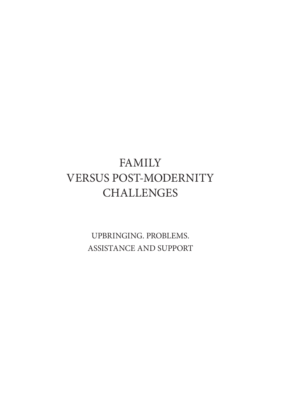# FAMILY VERSUS POST-MODERNITY **CHALLENGES**

UPBRINGING. PROBLEMS. ASSISTANCE AND SUPPORT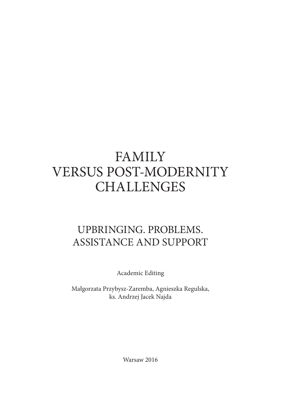# **FAMILY** VERSUS POST-MODERNITY **CHALLENGES**

# UPBRINGING. PROBLEMS. ASSISTANCE AND SUPPORT

Academic Editing

Małgorzata Przybysz-Zaremba, Agnieszka Regulska, ks. Andrzej Jacek Najda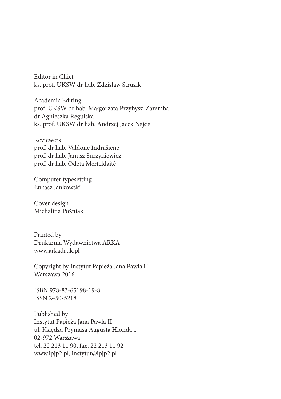Editor in Chief ks. prof. UKSW dr hab. Zdzisław Struzik

Academic Editing prof. UKSW dr hab. Małgorzata Przybysz-Zaremba dr Agnieszka Regulska ks. prof. UKSW dr hab. Andrzej Jacek Najda

Reviewers prof. dr hab. Valdonė Indrašienė prof. dr hab. Janusz Surzykiewicz prof. dr hab. Odeta Merfeldaitė

Computer typesetting Łukasz Jankowski

Cover design Michalina Poźniak

Printed by Drukarnia Wydawnictwa ARKA www.arkadruk.pl

Copyright by Instytut Papieża Jana Pawła II Warszawa 2016

ISBN 978-83-65198-19-8 ISSN 2450-5218

Published by Instytut Papieża Jana Pawła II ul. Księdza Prymasa Augusta Hlonda 1 02-972 Warszawa tel. 22 213 11 90, fax. 22 213 11 92 www.ipjp2.pl, instytut@ipjp2.pl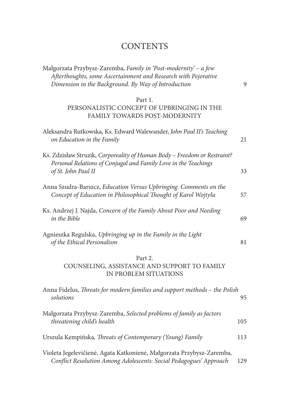# **CONTENTS**

| Małgorzata Przybysz-Zaremba, Family in 'Post-modernity' - a few<br>Afterthoughts, some Ascertainment and Research with Pejorative<br>Dimension in the Background. By Way of Introduction | 9   |
|------------------------------------------------------------------------------------------------------------------------------------------------------------------------------------------|-----|
| Part 1.<br>PERSONALISTIC CONCEPT OF UPBRINGING IN THE<br>FAMILY TOWARDS POST-MODERNITY                                                                                                   |     |
| Aleksandra Rutkowska, Ks. Edward Walewander, John Paul II's Teaching<br>on Education in the Family                                                                                       | 21  |
| Ks. Zdzisław Struzik, Corporeality of Human Body - Freedom or Restraint?<br>Personal Relations of Conjugal and Family Love in the Teachings<br>of St. John Paul II                       | 33  |
| Anna Szudra-Barszcz, Education Versus Upbringing. Comments on the<br>Concept of Education in Philosophical Thought of Karol Wojtyła                                                      | 57  |
| Ks. Andrzej J. Najda, Concern of the Family About Poor and Needing<br>in the Bible                                                                                                       | 69  |
| Agnieszka Regulska, Upbringing up in the Family in the Light<br>of the Ethical Personalism                                                                                               | 81  |
| Part 2.<br>COUNSELING, ASSISTANCE AND SUPPORT TO FAMILY<br>IN PROBLEM SITUATIONS                                                                                                         |     |
| Anna Fidelus, Threats for modern families and support methods - the Polish<br>solutions                                                                                                  | 95  |
| Małgorzata Przybysz-Zaremba, Selected problems of family as factors<br>threatening child's health                                                                                        | 105 |
| Urszula Kempińska, Threats of Contemporary (Young) Family                                                                                                                                | 113 |
| Violeta Jegelevičienė, Agata Katkonienė, Małgorzata Przybysz-Zaremba,<br>Conflict Resolution Among Adolescents: Social Pedagogues' Approach                                              | 129 |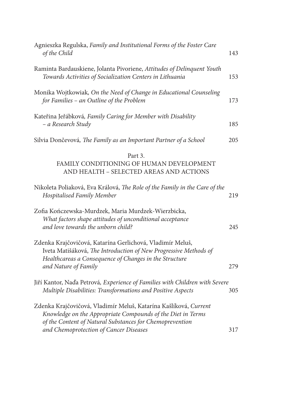| Agnieszka Regulska, Family and Institutional Forms of the Foster Care<br>of the Child                                                                                                                           | 143 |
|-----------------------------------------------------------------------------------------------------------------------------------------------------------------------------------------------------------------|-----|
| Raminta Bardauskiene, Jolanta Pivoriene, Attitudes of Delinquent Youth<br>Towards Activities of Socialization Centers in Lithuania                                                                              | 153 |
| Monika Wojtkowiak, On the Need of Change in Educational Counseling<br>for Families - an Outline of the Problem                                                                                                  | 173 |
| Kateřina Jeřábková, Family Caring for Member with Disability<br>- a Research Study                                                                                                                              | 185 |
| Silvia Dončevová, The Family as an Important Partner of a School                                                                                                                                                | 205 |
| Part 3.<br>FAMILY CONDITIONING OF HUMAN DEVELOPMENT<br>AND HEALTH - SELECTED AREAS AND ACTIONS                                                                                                                  |     |
| Nikoleta Poliaková, Eva Králová, The Role of the Family in the Care of the<br>Hospitalised Family Member                                                                                                        | 219 |
| Zofia Kończewska-Murdzek, Maria Murdzek-Wierzbicka,<br>What factors shape attitudes of unconditional acceptance<br>and love towards the unborn child?                                                           | 245 |
| Zdenka Krajčovičová, Katarína Gerlichová, Vladimír Meluš,<br>Iveta Matišáková, The Introduction of New Progressive Methods of<br>Healthcareas a Consequence of Changes in the Structure<br>and Nature of Family | 279 |
| Jiří Kantor, Naďa Petrová, Experience of Families with Children with Severe<br>Multiple Disabilities: Transformations and Positive Aspects                                                                      | 305 |
| Zdenka Krajčovičová, Vladimír Meluš, Katarína Kašlíková, Current<br>Knowledge on the Appropriate Compounds of the Diet in Terms<br>of the Content of Natural Substances for Chemoprevention                     |     |
| and Chemoprotection of Cancer Diseases                                                                                                                                                                          | 317 |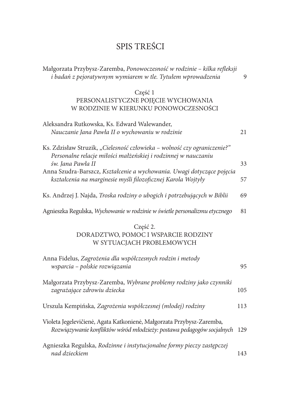# SPIS TREŚCI

| Małgorzata Przybysz-Zaremba, Ponowoczesność w rodzinie – kilka refleksji                                                                               |    |
|--------------------------------------------------------------------------------------------------------------------------------------------------------|----|
| i badań z pejoratywnym wymiarem w tle. Tytułem wprowadzenia                                                                                            | 9  |
| Część 1                                                                                                                                                |    |
| PERSONALISTYCZNE POJĘCIE WYCHOWANIA                                                                                                                    |    |
| W RODZINIE W KIERUNKU PONOWOCZESNOŚCI                                                                                                                  |    |
| Aleksandra Rutkowska, Ks. Edward Walewander,                                                                                                           |    |
| Nauczanie Jana Pawła II o wychowaniu w rodzinie                                                                                                        | 21 |
| Ks. Zdzisław Struzik, "Cielesność człowieka - wolność czy ograniczenie?"<br>Personalne relacje miłości małżeńskiej i rodzinnej w nauczaniu             |    |
| św. Jana Pawła II                                                                                                                                      | 33 |
| Anna Szudra-Barszcz, Kształcenie a wychowania. Uwagi dotyczące pojęcia                                                                                 |    |
| kształcenia na marginesie myśli filozoficznej Karola Wojtyły                                                                                           | 57 |
| Ks. Andrzej J. Najda, Troska rodziny o ubogich i potrzebujących w Biblii                                                                               | 69 |
| Agnieszka Regulska, Wychowanie w rodzinie w świetle personalizmu etycznego                                                                             | 81 |
| Część 2.                                                                                                                                               |    |
| DORADZTWO, POMOC I WSPARCIE RODZINY                                                                                                                    |    |
| W SYTUACJACH PROBLEMOWYCH                                                                                                                              |    |
|                                                                                                                                                        |    |
| Anna Fidelus, Zagrożenia dla współczesnych rodzin i metody<br>wsparcia - polskie rozwiązania                                                           | 95 |
|                                                                                                                                                        |    |
| Małgorzata Przybysz-Zaremba, Wybrane problemy rodziny jako czynniki                                                                                    |    |
| zagrażające zdrowiu dziecka<br>105                                                                                                                     |    |
|                                                                                                                                                        |    |
| Urszula Kempińska, Zagrożenia współczesnej (młodej) rodziny<br>113                                                                                     |    |
| Violeta Jegelevičienė, Agata Katkonienė, Małgorzata Przybysz-Zaremba,<br>Rozwiązywanie konfliktów wśród młodzieży: postawa pedagogów socjalnych<br>129 |    |
|                                                                                                                                                        |    |
| Agnieszka Regulska, Rodzinne i instytucjonalne formy pieczy zastępczej<br>nad dzieckiem<br>143                                                         |    |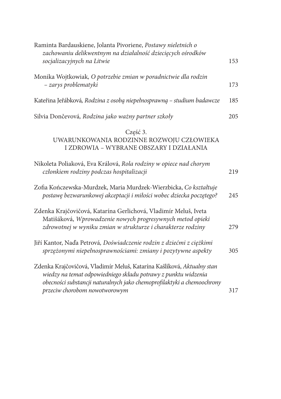| Raminta Bardauskiene, Jolanta Pivoriene, Postawy nieletnich o<br>zachowaniu delikwentnym na działalność dziecięcych ośrodków<br>socjalizacyjnych na Litwie                                                                                          | 153 |
|-----------------------------------------------------------------------------------------------------------------------------------------------------------------------------------------------------------------------------------------------------|-----|
| Monika Wojtkowiak, O potrzebie zmian w poradnictwie dla rodzin<br>- zarys problematyki                                                                                                                                                              | 173 |
| Kateřina Jeřábková, Rodzina z osobą niepełnosprawną – studium badawcze                                                                                                                                                                              | 185 |
| Silvia Dončevová, Rodzina jako ważny partner szkoły                                                                                                                                                                                                 | 205 |
| Część 3.<br>UWARUNKOWANIA RODZINNE ROZWOJU CZŁOWIEKA<br>I ZDROWIA - WYBRANE OBSZARY I DZIAŁANIA                                                                                                                                                     |     |
| Nikoleta Poliaková, Eva Králová, Rola rodziny w opiece nad chorym<br>członkiem rodziny podczas hospitalizacji                                                                                                                                       | 219 |
| Zofia Kończewska-Murdzek, Maria Murdzek-Wierzbicka, Co kształtuje<br>postawę bezwarunkowej akceptacji i miłości wobec dziecka poczętego?                                                                                                            | 245 |
| Zdenka Krajčovičová, Katarína Gerlichová, Vladimír Meluš, Iveta<br>Matišáková, Wprowadzenie nowych progresywnych metod opieki<br>zdrowotnej w wyniku zmian w strukturze i charakterze rodziny                                                       | 279 |
| Jiří Kantor, Naďa Petrová, Doświadczenie rodzin z dziećmi z ciężkimi<br>sprzężonymi niepełnosprawnościami: zmiany i pozytywne aspekty                                                                                                               | 305 |
| Zdenka Krajčovičová, Vladimír Meluš, Katarína Kašlíková, Aktualny stan<br>wiedzy na temat odpowiedniego składu potrawy z punktu widzenia<br>obecności substancji naturalnych jako chemoprofilaktyki a chemoochrony<br>przeciw chorobom nowotworowym | 317 |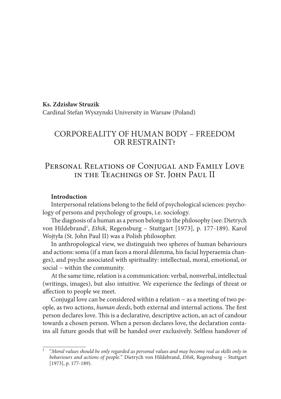# **Ks. Zdzisław Struzik** Cardinal Stefan Wyszynski University in Warsaw (Poland)

# CORPOREALITY OF HUMAN BODY – FREEDOM OR RESTRAINT?

# Personal Relations of Conjugal and Family Love in the Teachings of St. John Paul II

#### **Introduction**

Interpersonal relations belong to the field of psychological sciences: psychology of persons and psychology of groups, i.e. sociology.

The diagnosis of a human as a person belongs to the philosophy (see: Dietrych von Hildebrand<sup>1</sup>, *Ethik*, Regensburg – Stuttgart [1973], p. 177-189). Karol Wojtyła (St. John Paul II) was a Polish philosopher.

In anthropological view, we distinguish two spheres of human behaviours and actions: soma (if a man faces a moral dilemma, his facial hyperaemia changes), and psyche associated with spirituality: intellectual, moral, emotional, or social – within the community.

At the same time, relation is a communication: verbal, nonverbal, intellectual (writings, images), but also intuitive. We experience the feelings of threat or affection to people we meet.

Conjugal love can be considered within a relation − as a meeting of two people, as two actions, *human deeds*, both external and internal actions. The first person declares love. This is a declarative, descriptive action, an act of candour towards a chosen person. When a person declares love, the declaration contains all future goods that will be handed over exclusively. Selfless handover of

<sup>1</sup> "*Moral values should be only regarded as personal values and may become real as skills only in behaviours and actions of people.*" Dietrych von Hildebrand, *Ethik,* Regensburg – Stuttgart [1973], p. 177-189).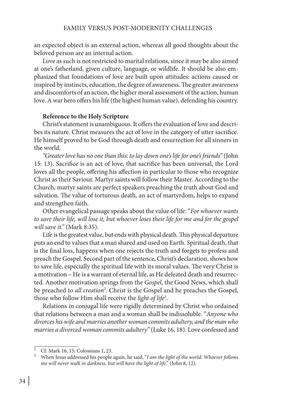an expected object is an external action, whereas all good thoughts about the beloved person are an internal action.

Love as such is not restricted to marital relations, since it may be also aimed at one's fatherland, given culture, language, or wildlife. It should be also emphasized that foundations of love are built upon attitudes: actions caused or inspired by instincts, education, the degree of awareness. The greater awareness and discomforts of an action, the higher moral assessment of the action, human love. A war hero offers his life (the highest human value), defending his country.

#### **Reference to the Holy Scripture**

Christ's statement is unambiguous. It offers the evaluation of love and describes its nature. Christ measures the act of love in the category of utter sacrifice. He himself proved to be God through death and resurrection for all sinners in the world.

*"Greater love has no one than this: to lay down one's life for one's friends"* (John 15: 13). Sacrifice is an act of love, that sacrifice has been universal, the Lord loves all the people, offering his affection in particular to those who recognize Christ as their Saviour. Martyr saints will follow their Master. According to the Church, martyr saints are perfect speakers preaching the truth about God and salvation. The value of torturous death, an act of martyrdom, helps to expand and strengthen faith.

Other evangelical passage speaks about the value of life: "*For whoever wants to save their life, will lose it, but whoever loses their life for me and for the gospel will save it."* (Mark 8:35).

Life is the greatest value, but ends with physical death. This physical departure puts an end to values that a man shared and used on Earth. Spiritual death, that is the final loss, happens when one rejects the truth and forgets to profess and preach the Gospel. Second part of the sentence, Christ's declaration, shows how to save life, especially the spiritual life with its moral values. The very Christ is a motivation – He is a warrant of eternal life, as He defeated death and resurrected. Another motivation springs from the *Gospel*, the Good News, which shall be preached to *all creation*<sup>2</sup> *.* Christ is the Gospel and he preaches the Gospel, those who follow Him shall receive the *light of life*<sup>3</sup> .

Relations in conjugal life were rigidly determined by Christ who ordained that relations between a man and a woman shall be indissoluble. "*Anyone who divorces his wife and marries another woman commits adultery, and the man who marries a divorced woman commits adultery"* (Luke 16, 18). Love confessed and

<sup>2</sup> Cf. Mark 16, 15; Colossians 1, 23.

<sup>3</sup> When Jesus addressed his people again, he said, "*I am the light of the world. Whoever follows me will never walk in darkness, but will have the light of life*." (John 8, 12).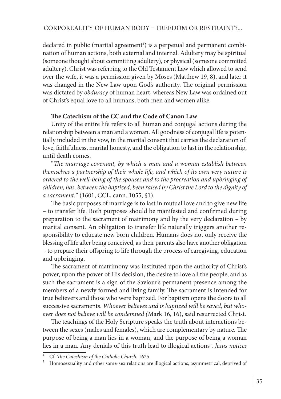declared in public (marital agreement<sup>4</sup>) is a perpetual and permanent combination of human actions, both external and internal. Adultery may be spiritual (someone thought about committing adultery), or physical (someone committed adultery). Christ was referring to the Old Testament Law which allowed to send over the wife, it was a permission given by Moses (Matthew 19, 8), and later it was changed in the New Law upon God's authority. The original permission was dictated by *obduracy* of human heart, whereas New Law was ordained out of Christ's equal love to all humans, both men and women alike.

#### **The Catechism of the CC and the Code of Canon Law**

Unity of the entire life refers to all human and conjugal actions during the relationship between a man and a woman. All goodness of conjugal life is potentially included in the vow, in the marital consent that carries the declaration of: love, faithfulness, marital honesty, and the obligation to last in the relationship, until death comes.

"*The marriage covenant, by which a man and a woman establish between themselves a partnership of their whole life, and which of its own very nature is ordered to the well-being of the spouses and to the procreation and upbringing of children, has, between the baptized, been raised by Christ the Lord to the dignity of a sacrament.*" (1601, CCL, cann. 1055, §1).

The basic purposes of marriage is to last in mutual love and to give new life – to transfer life. Both purposes should be manifested and confirmed during preparation to the sacrament of matrimony and by the very declaration – by marital consent. An obligation to transfer life naturally triggers another responsibility to educate new born children. Humans does not only receive the blessing of life after being conceived, as their parents also have another obligation – to prepare their offspring to life through the process of caregiving, education and upbringing.

The sacrament of matrimony was instituted upon the authority of Christ's power, upon the power of His decision, the desire to love all the people, and as such the sacrament is a sign of the Saviour's permanent presence among the members of a newly formed and living family. The sacrament is intended for true believers and those who were baptized. For baptism opens the doors to all successive sacraments. *Whoever believes and is baptized will be saved, but whoever does not believe will be condemned (*Mark 16, 16), said resurrected Christ.

The teachings of the Holy Scripture speaks the truth about interactions between the sexes (males and females), which are complementary by nature. The purpose of being a man lies in a woman, and the purpose of being a woman lies in a man. Any denials of this truth lead to illogical actions5 . *Jesus notices* 

<sup>4</sup> Cf. *The Catechism of the Catholic Church*, 1625.

<sup>&</sup>lt;sup>5</sup> Homosexuality and other same-sex relations are illogical actions, asymmetrical, deprived of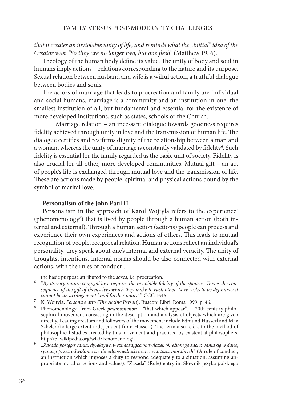that it creates an inviolable unity of life, and reminds what the "initial" idea of the *Creator was: "So they are no longer two, but one flesh"* (Matthew 19, 6).

Theology of the human body define its value. The unity of body and soul in humans imply actions − relations corresponding to the nature and its purpose. Sexual relation between husband and wife is a wilful action, a truthful dialogue between bodies and souls.

The actors of marriage that leads to procreation and family are individual and social humans, marriage is a community and an institution in one, the smallest institution of all, but fundamental and essential for the existence of more developed institutions, such as states, schools or the Church.

Marriage relation – an incessant dialogue towards goodness requires fidelity achieved through unity in love and the transmission of human life. The dialogue certifies and reaffirms dignity of the relationship between a man and a woman, whereas the unity of marriage is constantly validated by fidelity $^6$ . Such fidelity is essential for the family regarded as the basic unit of society. Fidelity is also crucial for all other, more developed communities. Mutual gift – an act of people's life is exchanged through mutual love and the transmission of life. These are actions made by people, spiritual and physical actions bound by the symbol of marital love.

# **Personalism of the John Paul II**

Personalism in the approach of Karol Wojtyła refers to the experience<sup>7</sup> (phenomenology<sup>8</sup>) that is lived by people through a human action (both internal and external). Through a human action (actions) people can process and experience their own experiences and actions of others. This leads to mutual recognition of people, reciprocal relation. Human actions reflect an individual's personality, they speak about one's internal and external veracity. The unity of thoughts, intentions, internal norms should be also connected with external actions, with the rules of conduct<sup>9</sup>.

the basic purpose attributed to the sexes, i.e. procreation.

<sup>6</sup> "*By its very nature conjugal love requires the inviolable fidelity of the spouses. This is the consequence of the gift of themselves which they make to each other. Love seeks to be definitive; it cannot be an arrangement 'until further notice'.*" CCC 1646.

<sup>7</sup> K. Wojtyła, *Persona e atto (The Acting Person*), Rusconi Libri, Roma 1999, p. 46.

<sup>8</sup> Phenomenology (from Greek *phainomenon* – "that which appear") – 20th century philosophical movement consisting in the description and analysis of objects which are given directly. Leading creators and followers of the movement include Edmund Husserl and Max Scheler (to large extent independent from Husserl). The term also refers to the method of philosophical studies created by this movement and practiced by existential philosophers. http://pl.wikipedia.org/wiki/Fenomenologia

<sup>9</sup> "*Zasada postępowania, dyrektywa wyznaczająca obowiązek określonego zachowania się w danej sytuacji przez odwołanie się do odpowiednich ocen i wartości moralnych*" (A rule of conduct, an instruction which imposes a duty to respond adequately to a situation, assuming appropriate moral criterions and values). "Zasada" (Rule) entry in: Słownik języka polskiego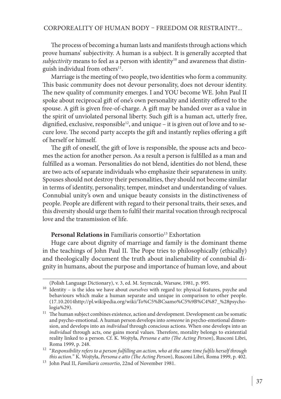The process of becoming a human lasts and manifests through actions which prove humans' subjectivity. A human is a subject. It is generally accepted that *subjectivity* means to feel as a person with identity<sup>10</sup> and awareness that distinguish individual from others<sup>11</sup>.

Marriage is the meeting of two people, two identities who form a community. This basic community does not devour personality, does not devour identity. The new quality of community emerges. I and YOU become WE. John Paul II spoke about reciprocal gift of one's own personality and identity offered to the spouse. A gift is given free-of-charge. A gift may be handed over as a value in the spirit of unviolated personal liberty. Such gift is a human act, utterly free, dignified, exclusive, responsible<sup>12</sup>, and unique – it is given out of love and to secure love. The second party accepts the gift and instantly replies offering a gift of herself or himself.

The gift of oneself, the gift of love is responsible, the spouse acts and becomes the action for another person. As a result a person is fulfilled as a man and fulfilled as a woman. Personalities do not blend, identities do not blend, these are two acts of separate individuals who emphasize their separateness in unity. Spouses should not destroy their personalities, they should not become similar in terms of identity, personality, temper, mindset and understanding of values. Connubial unity's own and unique beauty consists in the distinctiveness of people. People are different with regard to their personal traits, their sexes, and this diversity should urge them to fulfil their marital vocation through reciprocal love and the transmission of life.

# Personal Relations in Familiaris consortio<sup>13</sup> Exhortation

Huge care about dignity of marriage and family is the dominant theme in the teachings of John Paul II. The Pope tries to philosophically (ethically) and theologically document the truth about inalienability of connubial dignity in humans, about the purpose and importance of human love, and about

<sup>(</sup>Polish Language Dictionary), v. 3, ed. M. Szymczak, Warsaw, 1981, p. 995.

<sup>10</sup> Identity – is the idea we have about *ourselves* with regard to: physical features, psyche and behaviours which make a human separate and unique in comparison to other people. (17.10.2014http://pl.wikipedia.org/wiki/To%C5%BCsamo%C5%9B%C4%87\_%28psychologia%29).

<sup>&</sup>lt;sup>11</sup> The human subject combines existence, action and development. Development can be somatic and psycho-emotional. A human person develops into *someone* in psycho-emotional dimension, and develops into an *individual* through conscious actions. When one develops into an *individual* through acts, one gains moral values. Therefore, morality belongs to existential reality linked to a person. Cf. K. Wojtyła, *Persona e atto (The Acting Person*), Rusconi Libri, Roma 1999, p. 248.

<sup>12</sup> "*Responsibility refers to a person fulfilling an action, who at the same time fulfils herself through this action.*" K. Wojtyła, *Persona e atto (The Acting Person*), Rusconi Libri, Roma 1999, p. 402.

<sup>&</sup>lt;sup>13</sup> John Paul II, *Familiaris consortio*, 22nd of November 1981.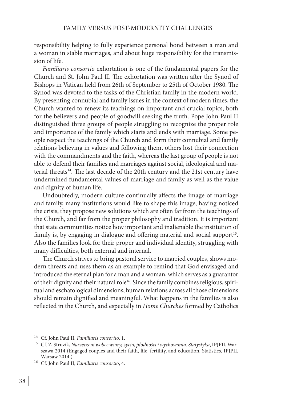responsibility helping to fully experience personal bond between a man and a woman in stable marriages, and about huge responsibility for the transmission of life.

*Familiaris consortio* exhortation is one of the fundamental papers for the Church and St. John Paul II. The exhortation was written after the Synod of Bishops in Vatican held from 26th of September to 25th of October 1980. The Synod was devoted to the tasks of the Christian family in the modern world. By presenting connubial and family issues in the context of modern times, the Church wanted to renew its teachings on important and crucial topics, both for the believers and people of goodwill seeking the truth. Pope John Paul II distinguished three groups of people struggling to recognize the proper role and importance of the family which starts and ends with marriage. Some people respect the teachings of the Church and form their connubial and family relations believing in values and following them, others lost their connection with the commandments and the faith, whereas the last group of people is not able to defend their families and marriages against social, ideological and material threats<sup>14</sup>. The last decade of the 20th century and the 21st century have undermined fundamental values of marriage and family as well as the value and dignity of human life.

Undoubtedly, modern culture continually affects the image of marriage and family, many institutions would like to shape this image, having noticed the crisis, they propose new solutions which are often far from the teachings of the Church, and far from the proper philosophy and tradition. It is important that state communities notice how important and inalienable the institution of family is, by engaging in dialogue and offering material and social support<sup>15</sup>. Also the families look for their proper and individual identity, struggling with many difficulties, both external and internal.

The Church strives to bring pastoral service to married couples, shows modern threats and uses them as an example to remind that God envisaged and introduced the eternal plan for a man and a woman, which serves as a guarantor of their dignity and their natural role<sup>16</sup>. Since the family combines religious, spiritual and eschatological dimensions, human relations across all those dimensions should remain dignified and meaningful. What happens in the families is also reflected in the Church, and especially in *Home Churches* formed by Catholics

<sup>14</sup> Cf. John Paul II*, Familiaris consortio*, 1. 15 Cf. Z. Struzik, *Narzeczeni wobec wiary, życia, płodności i wychowania*. *Statystyka*, IPJPII, Warszawa 2014 (Engaged couples and their faith, life, fertility, and education. Statistics, IPJPII, Warsaw 2014.)

<sup>16</sup> Cf. John Paul II, *Familiaris consortio*, 4.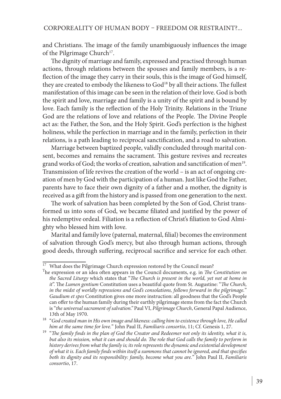and Christians. The image of the family unambiguously influences the image of the Pilgrimage Church<sup>17</sup>.

The dignity of marriage and family, expressed and practised through human actions, through relations between the spouses and family members, is a reflection of the image they carry in their souls, this is the image of God himself, they are created to embody the likeness to God<sup>18</sup> by all their actions. The fullest manifestation of this image can be seen in the relation of their love. God is both the spirit and love, marriage and family is a unity of the spirit and is bound by love. Each family is the reflection of the Holy Trinity. Relations in the Triune God are the relations of love and relations of the People. The Divine People act as: the Father, the Son, and the Holy Spirit. God's perfection is the highest holiness, while the perfection in marriage and in the family, perfection in their relations, is a path leading to reciprocal sanctification, and a road to salvation.

Marriage between baptized people, validly concluded through marital consent, becomes and remains the sacrament. This gesture revives and recreates grand works of God; the works of creation, salvation and sanctification of men<sup>19</sup>. Transmission of life revives the creation of the world – is an act of ongoing creation of men by God with the participation of a human. Just like God the Father, parents have to face their own dignity of a father and a mother, the dignity is received as a gift from the history and is passed from one generation to the next.

The work of salvation has been completed by the Son of God, Christ transformed us into sons of God, we became filiated and justified by the power of his redemptive ordeal. Filiation is a reflection of Christ's filiation to God Almighty who blessed him with love.

Marital and family love (paternal, maternal, filial) becomes the environment of salvation through God's mercy, but also through human actions, through good deeds, through suffering, reciprocal sacrifice and service for each other.

<sup>17</sup> What does the Pilgrimage Church expression restored by the Council mean? The expression or an idea often appears in the Council documents, e.g. in *The Constitution on the Sacred Liturgy* which states that "*The Church is present in the world, yet not at home in it*". The *Lumen gentium* Constitution uses a beautiful quote from St. Augustine: "*The Church, in the midst of worldly repressions and God's consolations, follows forward in the pilgrimage.*" *Gaudium et spes* Constitution gives one more instruction: all goodness that the God's People can offer to the human family during their earthly pilgrimage stems from the fact the Church is "*the universal sacrament of salvation."* Paul VI, *Pilgrimage Church*, General Papal Audience, 13th of May 1970.

<sup>18</sup> "*God created man in His own image and likeness: calling him to existence through love, He called him at the same time for love.*" John Paul II, *Familiaris consortio*, 11; Cf. Genesis 1, 27.

<sup>19</sup> "*The family finds in the plan of God the Creator and Redeemer not only its identity, what it is,*  but also its mission, what it can and should do. The role that God calls the family to perform in *history derives from what the family is; its role represents the dynamic and existential development of what it is. Each family finds within itself a summons that cannot be ignored, and that specifies both its dignity and its responsibility: family, become what you are.*" John Paul II, *Familiaris consortio*, 17.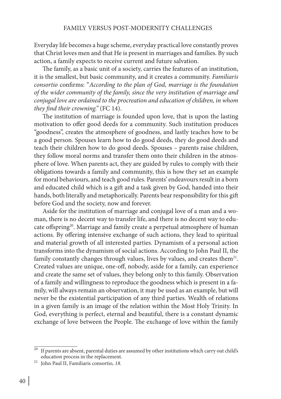Everyday life becomes a huge scheme, everyday practical love constantly proves that Christ loves men and that He is present in marriages and families. By such action, a family expects to receive current and future salvation.

The family, as a basic unit of a society, carries the features of an institution, it is the smallest, but basic community, and it creates a community. *Familiaris consortio* confirms: "*According to the plan of God, marriage is the foundation of the wider community of the family, since the very institution of marriage and conjugal love are ordained to the procreation and education of children, in whom they find their crowning."* (FC 14).

The institution of marriage is founded upon love, that is upon the lasting motivation to offer good deeds for a community. Such institution produces "goodness", creates the atmosphere of goodness, and lastly teaches how to be a good person. Spouses learn how to do good deeds, they do good deeds and teach their children how to do good deeds. Spouses – parents raise children, they follow moral norms and transfer them onto their children in the atmosphere of love. When parents act, they are guided by rules to comply with their obligations towards a family and community, this is how they set an example for moral behaviours, and teach good rules. Parents' endeavours result in a born and educated child which is a gift and a task given by God, handed into their hands, both literally and metaphorically. Parents bear responsibility for this gift before God and the society, now and forever.

Aside for the institution of marriage and conjugal love of a man and a woman, there is no decent way to transfer life, and there is no decent way to educate offspring<sup>20</sup>. Marriage and family create a perpetual atmosphere of human actions. By offering intensive exchange of such actions, they lead to spiritual and material growth of all interested parties. Dynamism of a personal action transforms into the dynamism of social actions. According to John Paul II, the family constantly changes through values, lives by values, and creates them<sup>21</sup>. Created values are unique, one-off, nobody, aside for a family, can experience and create the same set of values, they belong only to this family. Observation of a family and willingness to reproduce the goodness which is present in a family, will always remain an observation, it may be used as an example, but will never be the existential participation of any third parties. Wealth of relations in a given family is an image of the relation within the Most Holy Trinity. In God, everything is perfect, eternal and beautiful, there is a constant dynamic exchange of love between the People. The exchange of love within the family

 $20$  If parents are absent, parental duties are assumed by other institutions which carry out child's education process in the replacement.

<sup>21</sup> John Paul II, Familiaris consortio*, 18.*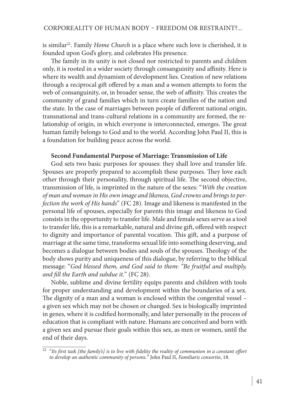is similar<sup>22</sup>. Family *Home Church* is a place where such love is cherished, it is founded upon God's glory, and celebrates His presence.

The family in its unity is not closed nor restricted to parents and children only, it is rooted in a wider society through consanguinity and affinity. Here is where its wealth and dynamism of development lies. Creation of new relations through a reciprocal gift offered by a man and a women attempts to form the web of consanguinity, or, in broader sense, the web of affinity. This creates the community of grand families which in turn create families of the nation and the state. In the case of marriages between people of different national origin, transnational and trans-cultural relations in a community are formed, the relationship of origin, in which everyone is interconnected, emerges. The great human family belongs to God and to the world. According John Paul II, this is a foundation for building peace across the world.

# **Second Fundamental Purpose of Marriage: Transmission of Life**

God sets two basic purposes for spouses: they shall love and transfer life. Spouses are properly prepared to accomplish these purposes. They love each other through their personality, through spiritual life. The second objective, transmission of life, is imprinted in the nature of the sexes: "*With the creation of man and woman in His own image and likeness, God crowns and brings to perfection the work of His hands*" (FC 28). Image and likeness is manifested in the personal life of spouses, especially for parents this image and likeness to God consists in the opportunity to transfer life. Male and female sexes serve as a tool to transfer life, this is a remarkable, natural and divine gift, offered with respect to dignity and importance of parental vocation. This gift, and a purpose of marriage at the same time, transforms sexual life into something deserving, and becomes a dialogue between bodies and souls of the spouses. Theology of the body shows purity and uniqueness of this dialogue, by referring to the biblical message: "*God blessed them, and God said to them: "Be fruitful and multiply, and fill the Earth and subdue it.*" (FC 28).

Noble, sublime and divine fertility equips parents and children with tools for proper understanding and development within the boundaries of a sex. The dignity of a man and a woman is enclosed within the congenital vessel – a given sex which may not be chosen or changed. Sex is biologically imprinted in genes, where it is codified hormonally, and later personally in the process of education that is compliant with nature. Humans are conceived and born with a given sex and pursue their goals within this sex, as men or women, until the end of their days.

<sup>&</sup>lt;sup>22</sup> "Its first task [the family's] is to live with fidelity the reality of communion in a constant effort *to develop an authentic community of persons.*" John Paul II, *Familiaris consortio*, 18.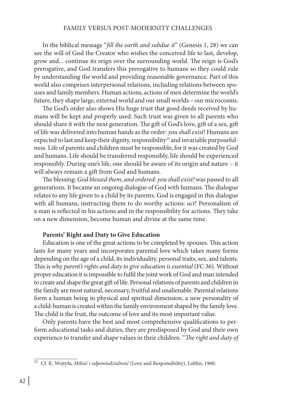#### FAMILY VERSUS POST-MODERNITY CHALLENGES

In the biblical message "*fill the earth and subdue it*" (Genesis 1, 28) we can see the will of God the Creator who wishes the conceived life to last, develop, grow and... continue its reign over the surrounding world. The reign is God's prerogative, and God transfers this prerogative to humans so they could rule by understanding the world and providing reasonable governance. Part of this world also comprises interpersonal relations, including relations between spouses and family members. Human actions, actions of men determine the world's future, they shape large, external world and our small worlds – our microcosms.

The God's order also shows His huge trust that good deeds received by humans will be kept and properly used. Such trust was given to all parents who should share it with the next generation. The gift of God's love, gift of a sex, gift of life was delivered into human hands as the order: *you shall exist*! Humans are expected to last and keep their dignity, responsibility<sup>23</sup> and invariable purposefulness. Life of parents and children must be responsible, for it was created by God and humans. Life should be transferred responsibly, life should be experienced responsibly. During one's life, one should be aware of its origin and nature – it will always remain a gift from God and humans.

The blessing: *God blessed them*, *and ordered: you shall exist!* was passed to all generations. It became an ongoing dialogue of God with humans. The dialogue relates to any life given to a child by its parents. God is engaged in this dialogue with all humans, instructing them to do worthy actions: *act*! Personalism of a man is reflected in his actions and in the responsibility for actions. They take on a new dimension, become human and divine at the same time.

#### **Parents' Right and Duty to Give Education**

Education is one of the great actions to be completed by spouses. This action lasts for many years and incorporates parental love which takes many forms depending on the age of a child, its individuality, personal traits, sex, and talents. This is why *parent's rights and duty to give education is essential* (FC 36). Without proper education it is impossible to fulfil the joint work of God and man intended to create and shape the great gift of life. Personal relations of parents and children in the family are most natural, necessary, fruitful and unalienable. Parental relations form a human being in physical and spiritual dimension, a new personality of a child-human is created within the family environment shaped by the family love. The child is the fruit, the outcome of love and its most important value.

Only parents have the best and most comprehensive qualifications to perform educational tasks and duties, they are predisposed by God and their own experience to transfer and shape values in their children. "*The right and duty of* 

<sup>23</sup> Cf. K. Wojtyła, *Miłość i odpowiedzialność* (Love and Responsibility), Lublin, 1960.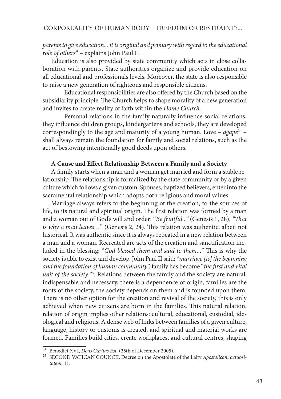# *parents to give education... it is original and primary with regard to the educational role of others*" *–* explains John Paul II.

Education is also provided by state community which acts in close collaboration with parents. State authorities organize and provide education on all educational and professionals levels. Moreover, the state is also responsible to raise a new generation of righteous and responsible citizens.

Educational responsibilities are also offered by the Church based on the subsidiarity principle. The Church helps to shape morality of a new generation and invites to create reality of faith within the *Home Church*.

Personal relations in the family naturally influence social relations, they influence children groups, kindergartens and schools, they are developed correspondingly to the age and maturity of a young human. Love - agape<sup>24</sup> shall always remain the foundation for family and social relations, such as the act of bestowing intentionally good deeds upon others.

#### **A Cause and Effect Relationship Between a Family and a Society**

A family starts when a man and a woman get married and form a stable relationship. The relationship is formalized by the state community or by a given culture which follows a given custom. Spouses, baptized believers, enter into the sacramental relationship which adopts both religious and moral values.

Marriage always refers to the beginning of the creation, to the sources of life, to its natural and spiritual origin. The first relation was formed by a man and a woman out of God's will and order: "*Be fruitful..."* (Genesis 1, 28), *"That is why a man leaves…*" (Genesis 2, 24). This relation was authentic, albeit not historical. It was authentic since it is always repeated in a new relation between a man and a woman. Recreated are acts of the creation and sanctification included in the blessing: "*God blessed them and said to them...*" This is why the society is able to exist and develop. John Paul II said: "*marriage [is] the beginning and the foundation of human community*", family has become "*the first and vital unit of the society"*<sup>25</sup>*.* Relations between the family and the society are natural, indispensable and necessary, there is a dependence of origin, families are the roots of the society, the society depends on them and is founded upon them. There is no other option for the creation and revival of the society, this is only achieved when new citizens are born in the families. This natural relation, relation of origin implies other relations: cultural, educational, custodial, ideological and religious. A dense web of links between families of a given culture, language, history or customs is created, and spiritual and material works are formed. Families build cities, create workplaces, and cultural centres, shaping

<sup>24</sup> Benedict XVI, *Deus Caritas Est.* (25th of December 2005).

<sup>25</sup> SECOND VATICAN COUNCIL Decree on the Apostolate of the Laity *Apostolicam actuositatem*, 11.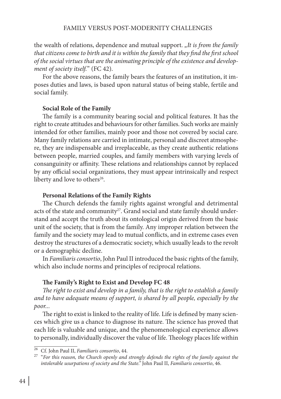the wealth of relations, dependence and mutual support. "It is from the family *that citizens come to birth and it is within the family that they find the first school of the social virtues that are the animating principle of the existence and development of society itself.*" (FC 42).

For the above reasons, the family bears the features of an institution, it imposes duties and laws, is based upon natural status of being stable, fertile and social family.

#### **Social Role of the Family**

The family is a community bearing social and political features. It has the right to create attitudes and behaviours for other families. Such works are mainly intended for other families, mainly poor and those not covered by social care. Many family relations are carried in intimate, personal and discreet atmosphere, they are indispensable and irreplaceable, as they create authentic relations between people, married couples, and family members with varying levels of consanguinity or affinity. These relations and relationships cannot by replaced by any official social organizations, they must appear intrinsically and respect liberty and love to others<sup>26</sup>.

#### **Personal Relations of the Family Rights**

The Church defends the family rights against wrongful and detrimental acts of the state and community<sup>27</sup>. Grand social and state family should understand and accept the truth about its ontological origin derived from the basic unit of the society, that is from the family. Any improper relation between the family and the society may lead to mutual conflicts, and in extreme cases even destroy the structures of a democratic society, which usually leads to the revolt or a demographic decline.

In *Familiaris consortio*, John Paul II introduced the basic rights of the family, which also include norms and principles of reciprocal relations.

#### **The Family's Right to Exist and Develop FC 48**

*The right to exist and develop in a family, that is the right to establish a family and to have adequate means of support, is shared by all people, especially by the poor...*

The right to exist is linked to the reality of life. Life is defined by many sciences which give us a chance to diagnose its nature. The science has proved that each life is valuable and unique, and the phenomenological experience allows to personally, individually discover the value of life. Theology places life within

<sup>26</sup> Cf. John Paul II, *Familiaris consortio*, 44.

<sup>27</sup> "*For this reason, the Church openly and strongly defends the rights of the family against the intolerable usurpations of society and the State."* John Paul II, *Familiaris consortio*, 46.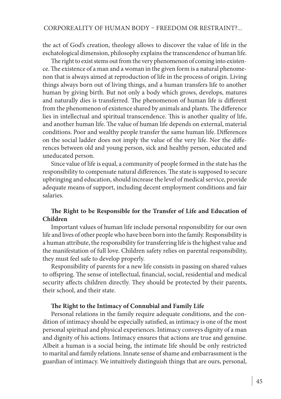the act of God's creation, theology allows to discover the value of life in the eschatological dimension, philosophy explains the transcendence of human life.

The right to exist stems out from the very phenomenon of coming into existence. The existence of a man and a woman in the given form is a natural phenomenon that is always aimed at reproduction of life in the process of origin. Living things always born out of living things, and a human transfers life to another human by giving birth. But not only a body which grows, develops, matures and naturally dies is transferred. The phenomenon of human life is different from the phenomenon of existence shared by animals and plants. The difference lies in intellectual and spiritual transcendence. This is another quality of life, and another human life. The value of human life depends on external, material conditions. Poor and wealthy people transfer the same human life. Differences on the social ladder does not imply the value of the very life. Nor the differences between old and young person, sick and healthy person, educated and uneducated person.

Since value of life is equal, a community of people formed in the state has the responsibility to compensate natural differences. The state is supposed to secure upbringing and education, should increase the level of medical service, provide adequate means of support, including decent employment conditions and fair salaries.

# **The Right to be Responsible for the Transfer of Life and Education of Children**

Important values of human life include personal responsibility for our own life and lives of other people who have been born into the family. Responsibility is a human attribute, the responsibility for transferring life is the highest value and the manifestation of full love. Children safety relies on parental responsibility, they must feel safe to develop properly.

Responsibility of parents for a new life consists in passing on shared values to offspring. The sense of intellectual, financial, social, residential and medical security affects children directly. They should be protected by their parents, their school, and their state.

#### **The Right to the Intimacy of Connubial and Family Life**

Personal relations in the family require adequate conditions, and the condition of intimacy should be especially satisfied, as intimacy is one of the most personal spiritual and physical experiences. Intimacy conveys dignity of a man and dignity of his actions. Intimacy ensures that actions are true and genuine. Albeit a human is a social being, the intimate life should be only restricted to marital and family relations. Innate sense of shame and embarrassment is the guardian of intimacy. We intuitively distinguish things that are ours, personal,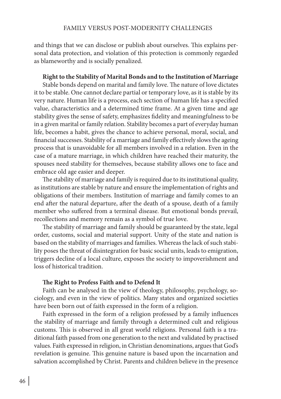and things that we can disclose or publish about ourselves. This explains personal data protection, and violation of this protection is commonly regarded as blameworthy and is socially penalized.

#### **Right to the Stability of Marital Bonds and to the Institution of Marriage**

Stable bonds depend on marital and family love. The nature of love dictates it to be stable. One cannot declare partial or temporary love, as it is stable by its very nature. Human life is a process, each section of human life has a specified value, characteristics and a determined time frame. At a given time and age stability gives the sense of safety, emphasizes fidelity and meaningfulness to be in a given marital or family relation. Stability becomes a part of everyday human life, becomes a habit, gives the chance to achieve personal, moral, social, and financial successes. Stability of a marriage and family effectively slows the ageing process that is unavoidable for all members involved in a relation. Even in the case of a mature marriage, in which children have reached their maturity, the spouses need stability for themselves, because stability allows one to face and embrace old age easier and deeper.

The stability of marriage and family is required due to its institutional quality, as institutions are stable by nature and ensure the implementation of rights and obligations of their members. Institution of marriage and family comes to an end after the natural departure, after the death of a spouse, death of a family member who suffered from a terminal disease. But emotional bonds prevail, recollections and memory remain as a symbol of true love.

The stability of marriage and family should be guaranteed by the state, legal order, customs, social and material support. Unity of the state and nation is based on the stability of marriages and families. Whereas the lack of such stability poses the threat of disintegration for basic social units, leads to emigration, triggers decline of a local culture, exposes the society to impoverishment and loss of historical tradition.

#### **The Right to Profess Faith and to Defend It**

Faith can be analysed in the view of theology, philosophy, psychology, sociology, and even in the view of politics. Many states and organized societies have been born out of faith expressed in the form of a religion.

Faith expressed in the form of a religion professed by a family influences the stability of marriage and family through a determined cult and religious customs. This is observed in all great world religions. Personal faith is a traditional faith passed from one generation to the next and validated by practised values. Faith expressed in religion, in Christian denominations, argues that God's revelation is genuine. This genuine nature is based upon the incarnation and salvation accomplished by Christ. Parents and children believe in the presence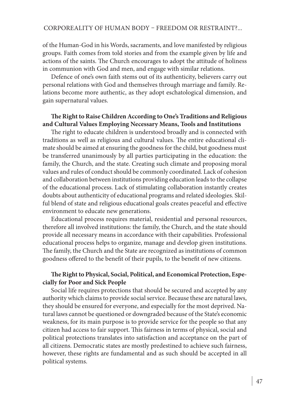of the Human-God in his Words, sacraments, and love manifested by religious groups. Faith comes from told stories and from the example given by life and actions of the saints. The Church encourages to adopt the attitude of holiness in communion with God and men, and engage with similar relations.

Defence of one's own faith stems out of its authenticity, believers carry out personal relations with God and themselves through marriage and family. Relations become more authentic, as they adopt eschatological dimension, and gain supernatural values.

# **The Right to Raise Children According to One's Traditions and Religious and Cultural Values Employing Necessary Means, Tools and Institutions**

The right to educate children is understood broadly and is connected with traditions as well as religious and cultural values. The entire educational climate should be aimed at ensuring the goodness for the child, but goodness must be transferred unanimously by all parties participating in the education: the family, the Church, and the state. Creating such climate and proposing moral values and rules of conduct should be commonly coordinated. Lack of cohesion and collaboration between institutions providing education leads to the collapse of the educational process. Lack of stimulating collaboration instantly creates doubts about authenticity of educational programs and related ideologies. Skilful blend of state and religious educational goals creates peaceful and effective environment to educate new generations.

Educational process requires material, residential and personal resources, therefore all involved institutions: the family, the Church, and the state should provide all necessary means in accordance with their capabilities. Professional educational process helps to organize, manage and develop given institutions. The family, the Church and the State are recognized as institutions of common goodness offered to the benefit of their pupils, to the benefit of new citizens.

# **The Right to Physical, Social, Political, and Economical Protection, Especially for Poor and Sick People**

Social life requires protections that should be secured and accepted by any authority which claims to provide social service. Because these are natural laws, they should be ensured for everyone, and especially for the most deprived. Natural laws cannot be questioned or downgraded because of the State's economic weakness, for its main purpose is to provide service for the people so that any citizen had access to fair support. This fairness in terms of physical, social and political protections translates into satisfaction and acceptance on the part of all citizens. Democratic states are mostly predestined to achieve such fairness, however, these rights are fundamental and as such should be accepted in all political systems.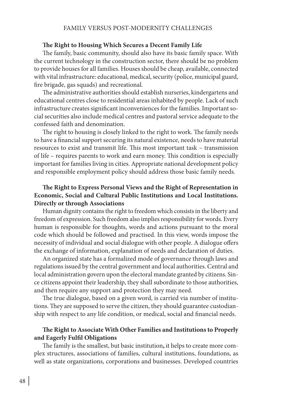#### FAMILY VERSUS POST-MODERNITY CHALLENGES

#### **The Right to Housing Which Secures a Decent Family Life**

The family, basic community, should also have its basic family space. With the current technology in the construction sector, there should be no problem to provide houses for all families. Houses should be cheap, available, connected with vital infrastructure: educational, medical, security (police, municipal guard, fire brigade, gas squads) and recreational.

The administrative authorities should establish nurseries, kindergartens and educational centres close to residential areas inhabited by people. Lack of such infrastructure creates significant inconveniences for the families. Important social securities also include medical centres and pastoral service adequate to the confessed faith and denomination.

The right to housing is closely linked to the right to work. The family needs to have a financial support securing its natural existence, needs to have material resources to exist and transmit life. This most important task – transmission of life – requires parents to work and earn money. This condition is especially important for families living in cities. Appropriate national development policy and responsible employment policy should address those basic family needs.

# **The Right to Express Personal Views and the Right of Representation in Economic, Social and Cultural Public Institutions and Local Institutions. Directly or through Associations**

Human dignity contains the right to freedom which consists in the liberty and freedom of expression. Such freedom also implies responsibility for words. Every human is responsible for thoughts, words and actions pursuant to the moral code which should be followed and practised. In this view, words impose the necessity of individual and social dialogue with other people. A dialogue offers the exchange of information, explanation of needs and declaration of duties.

An organized state has a formalized mode of governance through laws and regulations issued by the central government and local authorities. Central and local administration govern upon the electoral mandate granted by citizens. Since citizens appoint their leadership, they shall subordinate to those authorities, and then require any support and protection they may need.

The true dialogue, based on a given word, is carried via number of institutions. They are supposed to serve the citizen, they should guarantee custodianship with respect to any life condition, or medical, social and financial needs.

# **The Right to Associate With Other Families and Institutions to Properly and Eagerly Fulfil Obligations**

The family is the smallest, but basic institution**,** it helps to create more complex structures, associations of families, cultural institutions, foundations, as well as state organizations, corporations and businesses. Developed countries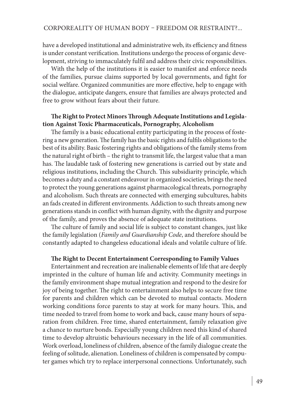have a developed institutional and administrative web, its efficiency and fitness is under constant verification. Institutions undergo the process of organic development, striving to immaculately fulfil and address their civic responsibilities.

With the help of the institutions it is easier to manifest and enforce needs of the families, pursue claims supported by local governments, and fight for social welfare. Organized communities are more effective, help to engage with the dialogue, anticipate dangers, ensure that families are always protected and free to grow without fears about their future.

# **The Right to Protect Minors Through Adequate Institutions and Legislation Against Toxic Pharmaceuticals, Pornography, Alcoholism**

The family is a basic educational entity participating in the process of fostering a new generation. The family has the basic rights and fulfils obligations to the best of its ability. Basic fostering rights and obligations of the family stems from the natural right of birth – the right to transmit life, the largest value that a man has. The laudable task of fostering new generations is carried out by state and religious institutions, including the Church. This subsidiarity principle, which becomes a duty and a constant endeavour in organized societies, brings the need to protect the young generations against pharmacological threats, pornography and alcoholism. Such threats are connected with emerging subcultures, habits an fads created in different environments. Addiction to such threats among new generations stands in conflict with human dignity, with the dignity and purpose of the family, and proves the absence of adequate state institutions.

The culture of family and social life is subject to constant changes, just like the family legislation (*Family and Guardianship Code*, and therefore should be constantly adapted to changeless educational ideals and volatile culture of life.

#### **The Right to Decent Entertainment Corresponding to Family Values**

Entertainment and recreation are inalienable elements of life that are deeply imprinted in the culture of human life and activity. Community meetings in the family environment shape mutual integration and respond to the desire for joy of being together. The right to entertainment also helps to secure free time for parents and children which can be devoted to mutual contacts. Modern working conditions force parents to stay at work for many hours. This, and time needed to travel from home to work and back, cause many hours of separation from children. Free time, shared entertainment, family relaxation give a chance to nurture bonds. Especially young children need this kind of shared time to develop altruistic behaviours necessary in the life of all communities. Work overload, loneliness of children, absence of the family dialogue create the feeling of solitude, alienation. Loneliness of children is compensated by computer games which try to replace interpersonal connections. Unfortunately, such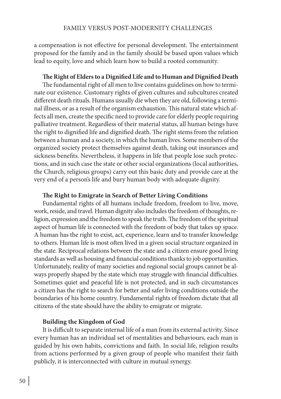a compensation is not effective for personal development. The entertainment proposed for the family and in the family should be based upon values which lead to equity, love and which learn how to build a rooted community.

#### **The Right of Elders to a Dignified Life and to Human and Dignified Death**

The fundamental right of all men to live contains guidelines on how to terminate our existence. Customary rights of given cultures and subcultures created different death rituals. Humans usually die when they are old, following a terminal illness, or as a result of the organism exhaustion. This natural state which affects all men, create the specific need to provide care for elderly people requiring palliative treatment. Regardless of their material status, all human beings have the right to dignified life and dignified death. The right stems from the relation between a human and a society, in which the human lives. Some members of the organized society protect themselves against death, taking out insurances and sickness benefits. Nevertheless, it happens in life that people lose such protections, and in such case the state or other social organizations (local authorities, the Church, religious groups) carry out this basic duty and provide care at the very end of a person's life and bury human body with adequate dignity.

#### **The Right to Emigrate in Search of Better Living Conditions**

Fundamental rights of all humans include freedom, freedom to live, move, work, reside, and travel. Human dignity also includes the freedom of thoughts, religion, expression and the freedom to speak the truth. The freedom of the spiritual aspect of human life is connected with the freedom of body that takes up space. A human has the right to exist, act, experience, learn and to transfer knowledge to others. Human life is most often lived in a given social structure organized in the state. Reciprocal relations between the state and a citizen ensure good living standards as well as housing and financial conditions thanks to job opportunities. Unfortunately, reality of many societies and regional social groups cannot be always properly shaped by the state which may struggle with financial difficulties. Sometimes quiet and peaceful life is not protected, and in such circumstances a citizen has the right to search for better and safer living conditions outside the boundaries of his home country. Fundamental rights of freedom dictate that all citizens of the state should have the ability to emigrate or migrate.

#### **Building the Kingdom of God**

It is difficult to separate internal life of a man from its external activity. Since every human has an individual set of mentalities and behaviours, each man is guided by his own habits, convictions and faith. In social life, religion results from actions performed by a given group of people who manifest their faith publicly, it is interconnected with culture in mutual synergy.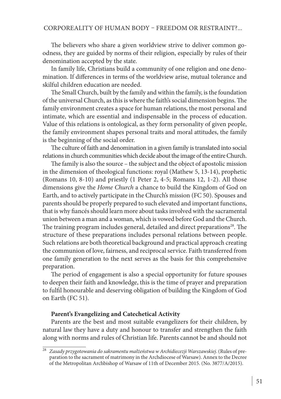The believers who share a given worldview strive to deliver common goodness, they are guided by norms of their religion, especially by rules of their denomination accepted by the state.

In family life, Christians build a community of one religion and one denomination. If differences in terms of the worldview arise, mutual tolerance and skilful children education are needed.

The Small Church, built by the family and within the family, is the foundation of the universal Church, as this is where the faith's social dimension begins. The family environment creates a space for human relations, the most personal and intimate, which are essential and indispensable in the process of education. Value of this relations is ontological, as they form personality of given people, the family environment shapes personal traits and moral attitudes, the family is the beginning of the social order.

The culture of faith and denomination in a given family is translated into social relations in church communities which decide about the image of the entire Church.

The family is also the source – the subject and the object of apostolic mission in the dimension of theological functions: royal (Mathew 5, 13-14), prophetic (Romans 10, 8-10) and priestly (1 Peter 2, 4-5; Romans 12, 1-2). All those dimensions give the *Home Church* a chance to build the Kingdom of God on Earth, and to actively participate in the Church's mission (FC 50). Spouses and parents should be properly prepared to such elevated and important functions, that is why fiancés should learn more about tasks involved with the sacramental union between a man and a woman, which is vowed before God and the Church. The training program includes general, detailed and direct preparations<sup>28</sup>. The structure of these preparations includes personal relations between people. Such relations are both theoretical background and practical approach creating the communion of love, fairness, and reciprocal service. Faith transferred from one family generation to the next serves as the basis for this comprehensive preparation.

The period of engagement is also a special opportunity for future spouses to deepen their faith and knowledge, this is the time of prayer and preparation to fulfil honourable and deserving obligation of building the Kingdom of God on Earth (FC 51).

#### **Parent's Evangelizing and Catechetical Activity**

Parents are the best and most suitable evangelizers for their children, by natural law they have a duty and honour to transfer and strengthen the faith along with norms and rules of Christian life. Parents cannot be and should not

<sup>28</sup> *Zasady przygotowania do sakramentu małżeństwa w Archidiecezji Warszawskiej*. (Rules of preparation to the sacrament of matrimony in the Archdiocese of Warsaw). Annex to the Decree of the Metropolitan Archbishop of Warsaw of 11th of December 2015. (No. 3877/A/2015).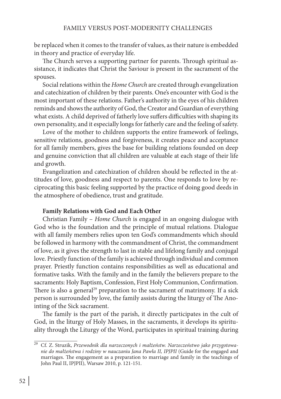be replaced when it comes to the transfer of values, as their nature is embedded in theory and practice of everyday life.

The Church serves a supporting partner for parents. Through spiritual assistance, it indicates that Christ the Saviour is present in the sacrament of the spouses.

Social relations within the *Home Church* are created through evangelization and catechization of children by their parents. One's encounter with God is the most important of these relations. Father's authority in the eyes of his children reminds and shows the authority of God, the Creator and Guardian of everything what exists. A child deprived of fatherly love suffers difficulties with shaping its own personality, and it especially longs for fatherly care and the feeling of safety.

Love of the mother to children supports the entire framework of feelings, sensitive relations, goodness and forgiveness, it creates peace and acceptance for all family members, gives the base for building relations founded on deep and genuine conviction that all children are valuable at each stage of their life and growth.

Evangelization and catechization of children should be reflected in the attitudes of love, goodness and respect to parents. One responds to love by reciprocating this basic feeling supported by the practice of doing good deeds in the atmosphere of obedience, trust and gratitude.

# **Family Relations with God and Each Other**

Christian Family – *Home Church* is engaged in an ongoing dialogue with God who is the foundation and the principle of mutual relations. Dialogue with all family members relies upon ten God's commandments which should be followed in harmony with the commandment of Christ, the commandment of love, as it gives the strength to last in stable and lifelong family and conjugal love. Priestly function of the family is achieved through individual and common prayer. Priestly function contains responsibilities as well as educational and formative tasks. With the family and in the family the believers prepare to the sacraments: Holy Baptism, Confession, First Holy Communion, Confirmation. There is also a general<sup>29</sup> preparation to the sacrament of matrimony. If a sick person is surrounded by love, the family assists during the liturgy of The Anointing of the Sick sacrament.

The family is the part of the parish, it directly participates in the cult of God, in the liturgy of Holy Masses, in the sacraments, it develops its spirituality through the Liturgy of the Word, participates in spiritual training during

<sup>29</sup> Cf. Z. Struzik, *Przewodnik dla narzeczonych i małżeństw. Narzeczeństwo jako przygotowanie do małżeństwa i rodziny w nauczaniu Jana Pawła II, IPJPII* (Guide for the engaged and marriages. The engagement as a preparation to marriage and family in the teachings of John Paul II, IPJPII), Warsaw 2010, p. 121-151.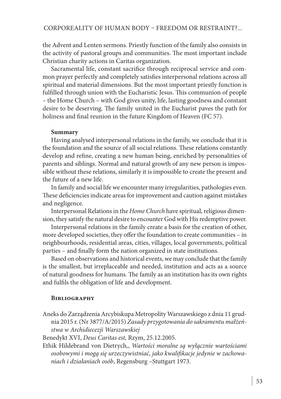the Advent and Lenten sermons. Priestly function of the family also consists in the activity of pastoral groups and communities. The most important include Christian charity actions in Caritas organization.

Sacramental life, constant sacrifice through reciprocal service and common prayer perfectly and completely satisfies interpersonal relations across all spiritual and material dimensions. But the most important priestly function is fulfilled through union with the Eucharistic Jesus. This communion of people – the Home Church – with God gives unity, life, lasting goodness and constant desire to be deserving. The family united in the Eucharist paves the path for holiness and final reunion in the future Kingdom of Heaven (FC 57).

# **Summary**

Having analysed interpersonal relations in the family, we conclude that it is the foundation and the source of all social relations. These relations constantly develop and refine, creating a new human being, enriched by personalities of parents and siblings. Normal and natural growth of any new person is impossible without these relations, similarly it is impossible to create the present and the future of a new life.

In family and social life we encounter many irregularities, pathologies even. These deficiencies indicate areas for improvement and caution against mistakes and negligence.

Interpersonal Relations in the *Home Church* have spiritual, religious dimension, they satisfy the natural desire to encounter God with His redemptive power.

Interpersonal relations in the family create a basis for the creation of other, more developed societies, they offer the foundation to create communities – in neighbourhoods, residential areas, cities, villages, local governments, political parties – and finally form the nation organized in state institutions.

Based on observations and historical events, we may conclude that the family is the smallest, but irreplaceable and needed, institution and acts as a source of natural goodness for humans. The family as an institution has its own rights and fulfils the obligation of life and development.

# **Bibliography**

Aneks do Zarządzenia Arcybiskupa Metropolity Warszawskiego z dnia 11 grudnia 2015 r. (Nr 3877/A/2015) *Zasady przygotowania do sakramentu małżeństwa w Archidiecezji Warszawskiej*

Benedykt XVI, *Deus Caritas est,* Rzym, 25.12.2005.

Ethik Hildebrand von Dietrych*,*, *Wartości moralne są wyłącznie wartościami osobowymi i mogą się urzeczywistniać, jako kwalifikacje jedynie w zachowaniach i działaniach osób*, Regensburg –Stuttgart 1973.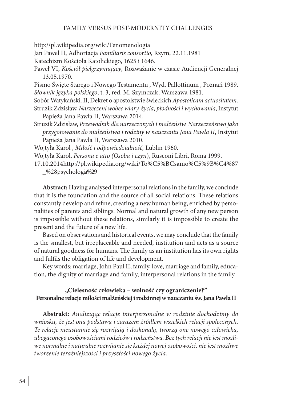# FAMILY VERSUS POST-MODERNITY CHALLENGES

http://pl.wikipedia.org/wiki/Fenomenologia

Jan Paweł II, Adhortacja *Familiaris consortio*, Rzym, 22.11.1981

Katechizm Kościoła Katolickiego, 1625 i 1646.

Paweł VI, *Kościół pielgrzymujący*, Rozważanie w czasie Audiencji Generalnej 13.05.1970.

Pismo Święte Starego i Nowego Testamentu , Wyd. Pallottinum , Poznań 1989. *Słownik języka polskiego*, t. 3, red. M. Szymczak, Warszawa 1981.

Sobór Watykański. II, Dekret o apostolstwie świeckich *Apostolicam actuositatem.* Struzik Zdzisław, *Narzeczeni wobec wiary, życia, płodności i wychowania*, Instytut Papieża Jana Pawła II, Warszawa 2014.

Struzik Zdzisław, *Przewodnik dla narzeczonych i małżeństw. Narzeczeństwo jako przygotowanie do małżeństwa i rodziny w nauczaniu Jana Pawła II*, Instytut Papieża Jana Pawła II, Warszawa 2010.

Wojtyła Karol , *Miłość i odpowiedzialność,* Lublin 1960.

Wojtyła Karol, *Persona e atto (Osoba i czyn*), Rusconi Libri, Roma 1999.

17.10.2014http://pl.wikipedia.org/wiki/To%C5%BCsamo%C5%9B%C4%87 \_%28psychologia%29

**Abstract:** Having analysed interpersonal relations in the family, we conclude that it is the foundation and the source of all social relations. These relations constantly develop and refine, creating a new human being, enriched by personalities of parents and siblings. Normal and natural growth of any new person is impossible without these relations, similarly it is impossible to create the present and the future of a new life.

Based on observations and historical events, we may conclude that the family is the smallest, but irreplaceable and needed, institution and acts as a source of natural goodness for humans. The family as an institution has its own rights and fulfils the obligation of life and development.

Key words: marriage, John Paul II, family, love, marriage and family, education, the dignity of marriage and family, interpersonal relations in the family.

# **"Cielesność człowieka – wolność czy ograniczenie?" Personalne relacje miłości małżeńskiej i rodzinnej w nauczaniu św. Jana Pawła II**

**Abstrakt:** *Analizując relacje interpersonalne w rodzinie dochodzimy do wniosku, że jest ona podstawą i zarazem źródłem wszelkich relacji społecznych. Te relacje nieustannie się rozwijają i doskonalą, tworzą one nowego człowieka, ubogaconego osobowościami rodziców i rodzeństwa. Bez tych relacji nie jest możliwe normalne i naturalne rozwijanie się każdej nowej osobowości, nie jest możliwe tworzenie teraźniejszości i przyszłości nowego życia.*